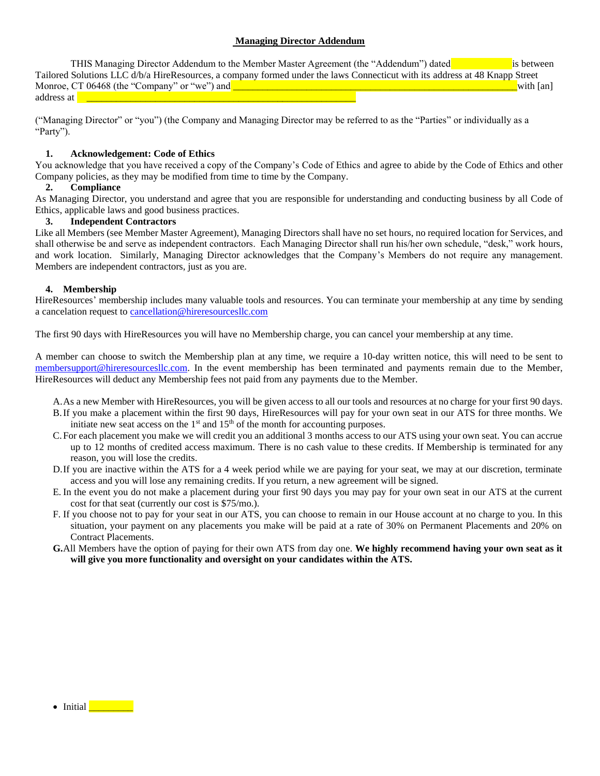# **Managing Director Addendum**

THIS Managing Director Addendum to the Member Master Agreement (the "Addendum") dated is between Tailored Solutions LLC d/b/a HireResources, a company formed under the laws Connecticut with its address at 48 Knapp Street<br>Monroe CT 06468 (the "Company" or "we") and Monroe, CT 06468 (the "Company" or "we") and **\_\_\_\_\_\_\_\_\_\_\_\_\_\_\_\_\_\_\_\_\_\_\_** address at **a** 

("Managing Director" or "you") (the Company and Managing Director may be referred to as the "Parties" or individually as a "Party").

### **1. Acknowledgement: Code of Ethics**

You acknowledge that you have received a copy of the Company's Code of Ethics and agree to abide by the Code of Ethics and other Company policies, as they may be modified from time to time by the Company.

# **2. Compliance**

As Managing Director, you understand and agree that you are responsible for understanding and conducting business by all Code of Ethics, applicable laws and good business practices.

### **3. Independent Contractors**

Like all Members (see Member Master Agreement), Managing Directors shall have no set hours, no required location for Services, and shall otherwise be and serve as independent contractors. Each Managing Director shall run his/her own schedule, "desk," work hours, and work location. Similarly, Managing Director acknowledges that the Company's Members do not require any management. Members are independent contractors, just as you are.

#### **4. Membership**

HireResources' membership includes many valuable tools and resources. You can terminate your membership at any time by sending a cancelation request t[o cancellation@hireresourcesllc.com](mailto:cancellation@hireresourcesllc.com)

The first 90 days with HireResources you will have no Membership charge, you can cancel your membership at any time.

A member can choose to switch the Membership plan at any time, we require a 10-day written notice, this will need to be sent to [membersupport@hireresourcesllc.com.](mailto:membersupport@hireresourcesllc.com) In the event membership has been terminated and payments remain due to the Member, HireResources will deduct any Membership fees not paid from any payments due to the Member.

- A.As a new Member with HireResources, you will be given access to all our tools and resources at no charge for your first 90 days.
- B.If you make a placement within the first 90 days, HireResources will pay for your own seat in our ATS for three months. We initiate new seat access on the  $1<sup>st</sup>$  and  $15<sup>th</sup>$  of the month for accounting purposes.
- C.For each placement you make we will credit you an additional 3 months access to our ATS using your own seat. You can accrue up to 12 months of credited access maximum. There is no cash value to these credits. If Membership is terminated for any reason, you will lose the credits.
- D.If you are inactive within the ATS for a 4 week period while we are paying for your seat, we may at our discretion, terminate access and you will lose any remaining credits. If you return, a new agreement will be signed.
- E. In the event you do not make a placement during your first 90 days you may pay for your own seat in our ATS at the current cost for that seat (currently our cost is \$75/mo.).
- F. If you choose not to pay for your seat in our ATS, you can choose to remain in our House account at no charge to you. In this situation, your payment on any placements you make will be paid at a rate of 30% on Permanent Placements and 20% on Contract Placements.
- **G.**All Members have the option of paying for their own ATS from day one. **We highly recommend having your own seat as it will give you more functionality and oversight on your candidates within the ATS.**

• Initial  $\blacksquare$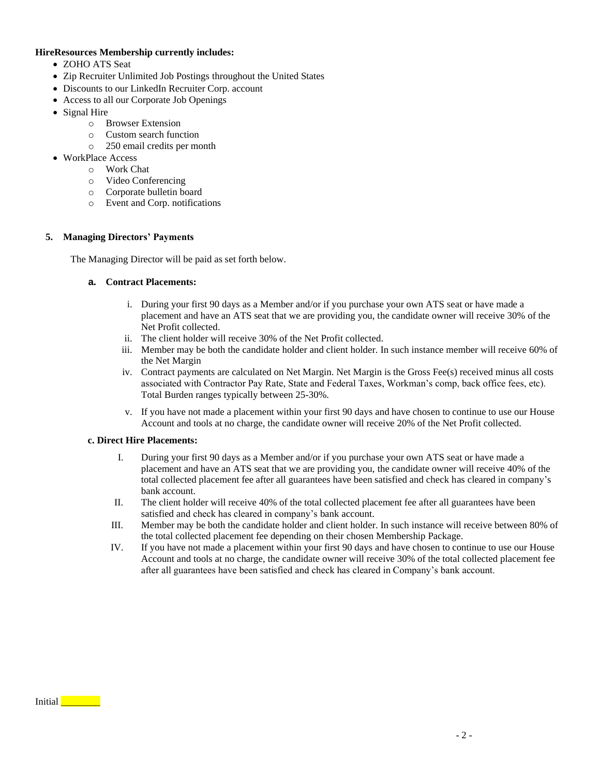### **HireResources Membership currently includes:**

- ZOHO ATS Seat
- Zip Recruiter Unlimited Job Postings throughout the United States
- Discounts to our LinkedIn Recruiter Corp. account
- Access to all our Corporate Job Openings
- Signal Hire
	- o Browser Extension
		- o Custom search function
		- o 250 email credits per month
- WorkPlace Access
	- o Work Chat
	- o Video Conferencing
	- o Corporate bulletin board
	- o Event and Corp. notifications

# **5. Managing Directors' Payments**

The Managing Director will be paid as set forth below.

# **a. Contract Placements:**

- i. During your first 90 days as a Member and/or if you purchase your own ATS seat or have made a placement and have an ATS seat that we are providing you, the candidate owner will receive 30% of the Net Profit collected.
- ii. The client holder will receive 30% of the Net Profit collected.
- iii. Member may be both the candidate holder and client holder. In such instance member will receive 60% of the Net Margin
- iv. Contract payments are calculated on Net Margin. Net Margin is the Gross Fee(s) received minus all costs associated with Contractor Pay Rate, State and Federal Taxes, Workman's comp, back office fees, etc). Total Burden ranges typically between 25-30%.
- v. If you have not made a placement within your first 90 days and have chosen to continue to use our House Account and tools at no charge, the candidate owner will receive 20% of the Net Profit collected.

# **c. Direct Hire Placements:**

- I. During your first 90 days as a Member and/or if you purchase your own ATS seat or have made a placement and have an ATS seat that we are providing you, the candidate owner will receive 40% of the total collected placement fee after all guarantees have been satisfied and check has cleared in company's bank account.
- II. The client holder will receive 40% of the total collected placement fee after all guarantees have been satisfied and check has cleared in company's bank account.
- III. Member may be both the candidate holder and client holder. In such instance will receive between 80% of the total collected placement fee depending on their chosen Membership Package.
- IV. If you have not made a placement within your first 90 days and have chosen to continue to use our House Account and tools at no charge, the candidate owner will receive 30% of the total collected placement fee after all guarantees have been satisfied and check has cleared in Company's bank account.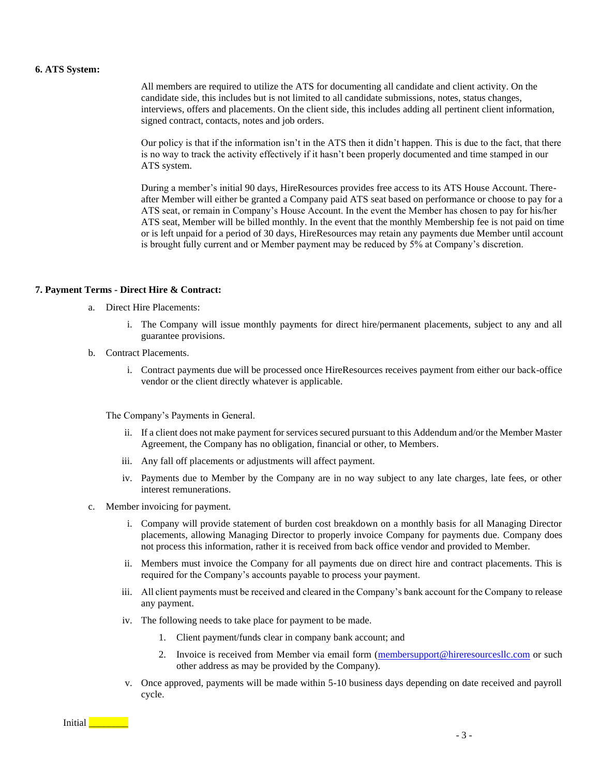#### **6. ATS System:**

All members are required to utilize the ATS for documenting all candidate and client activity. On the candidate side, this includes but is not limited to all candidate submissions, notes, status changes, interviews, offers and placements. On the client side, this includes adding all pertinent client information, signed contract, contacts, notes and job orders.

Our policy is that if the information isn't in the ATS then it didn't happen. This is due to the fact, that there is no way to track the activity effectively if it hasn't been properly documented and time stamped in our ATS system.

During a member's initial 90 days, HireResources provides free access to its ATS House Account. Thereafter Member will either be granted a Company paid ATS seat based on performance or choose to pay for a ATS seat, or remain in Company's House Account. In the event the Member has chosen to pay for his/her ATS seat, Member will be billed monthly. In the event that the monthly Membership fee is not paid on time or is left unpaid for a period of 30 days, HireResources may retain any payments due Member until account is brought fully current and or Member payment may be reduced by 5% at Company's discretion.

#### **7. Payment Terms - Direct Hire & Contract:**

- a. Direct Hire Placements:
	- i. The Company will issue monthly payments for direct hire/permanent placements, subject to any and all guarantee provisions.
- b. Contract Placements.
	- i. Contract payments due will be processed once HireResources receives payment from either our back-office vendor or the client directly whatever is applicable.

The Company's Payments in General.

- ii. If a client does not make payment for services secured pursuant to this Addendum and/or the Member Master Agreement, the Company has no obligation, financial or other, to Members.
- iii. Any fall off placements or adjustments will affect payment.
- iv. Payments due to Member by the Company are in no way subject to any late charges, late fees, or other interest remunerations.
- c. Member invoicing for payment.
	- i. Company will provide statement of burden cost breakdown on a monthly basis for all Managing Director placements, allowing Managing Director to properly invoice Company for payments due. Company does not process this information, rather it is received from back office vendor and provided to Member.
	- ii. Members must invoice the Company for all payments due on direct hire and contract placements. This is required for the Company's accounts payable to process your payment.
	- iii. All client payments must be received and cleared in the Company's bank account for the Company to release any payment.
	- iv. The following needs to take place for payment to be made.
		- 1. Client payment/funds clear in company bank account; and
		- 2. Invoice is received from Member via email form [\(membersupport@hireresourcesllc.com](mailto:membersupport@hireresourcesllc.com) or such other address as may be provided by the Company).
	- v. Once approved, payments will be made within 5-10 business days depending on date received and payroll cycle.

Initial **Lating Street**